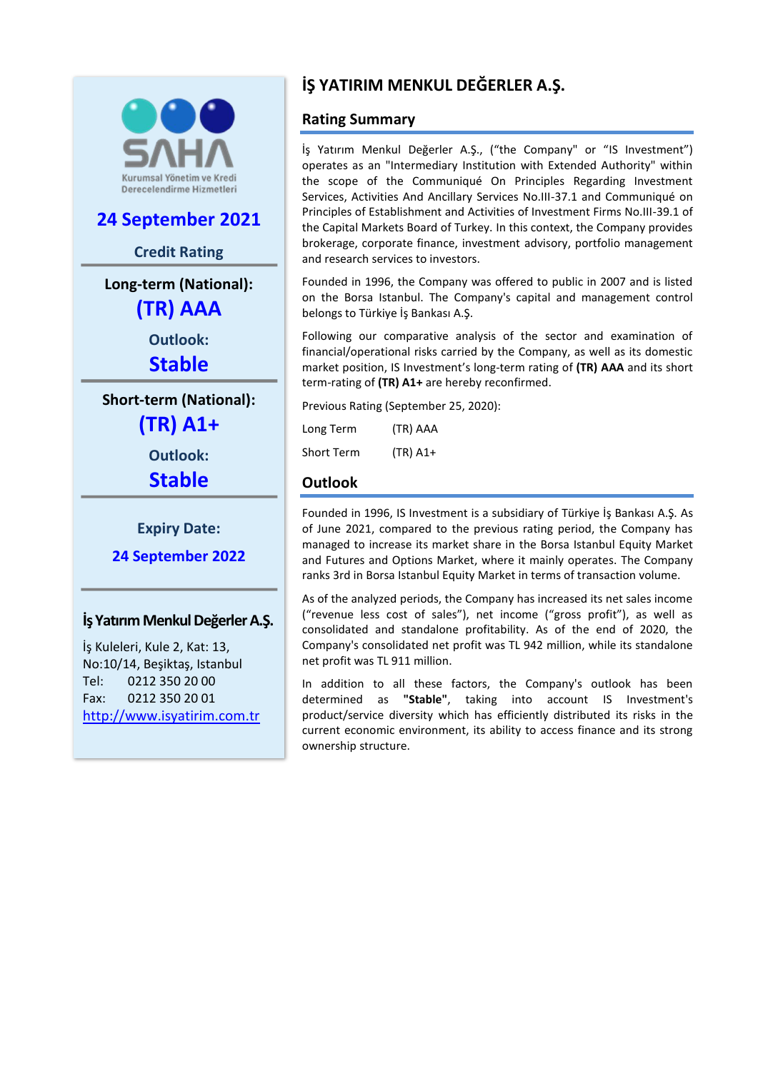

# **24 September 2021**

#### **Credit Rating**

**Long-term (National): (TR) AAA**

> **Outlook: Stable**

**Short-term (National):**

**(TR) A1+**

**Outlook:**

**Stable**

**Expiry Date:**

**24 September 2022**

#### **İş Yatırım Menkul Değerler A.Ş.**

İş Kuleleri, Kule 2, Kat: 13, No:10/14, Beşiktaş, Istanbul Tel: 0212 350 20 00 Fax: 0212 350 20 01 [http://www.isyatirim.com.](http://www.isyatirim.com/)tr

# **İŞ YATIRIM MENKUL DEĞERLER A.Ş.**

# **Rating Summary**

İş Yatırım Menkul Değerler A.Ş., ("the Company" or "IS Investment") operates as an "Intermediary Institution with Extended Authority" within the scope of the Communiqué On Principles Regarding Investment Services, Activities And Ancillary Services No.III-37.1 and Communiqué on Principles of Establishment and Activities of Investment Firms No.III-39.1 of the Capital Markets Board of Turkey. In this context, the Company provides brokerage, corporate finance, investment advisory, portfolio management and research services to investors.

Founded in 1996, the Company was offered to public in 2007 and is listed on the Borsa Istanbul. The Company's capital and management control belongs to Türkiye İş Bankası A.Ş.

Following our comparative analysis of the sector and examination of financial/operational risks carried by the Company, as well as its domestic market position, IS Investment's long-term rating of **(TR) AAA** and its short term-rating of **(TR) A1+** are hereby reconfirmed.

Previous Rating (September 25, 2020):

Long Term (TR) AAA Short Term (TR) A1+

# **Outlook**

Founded in 1996, IS Investment is a subsidiary of Türkiye İş Bankası A.Ş. As of June 2021, compared to the previous rating period, the Company has managed to increase its market share in the Borsa Istanbul Equity Market and Futures and Options Market, where it mainly operates. The Company ranks 3rd in Borsa Istanbul Equity Market in terms of transaction volume.

As of the analyzed periods, the Company has increased its net sales income ("revenue less cost of sales"), net income ("gross profit"), as well as consolidated and standalone profitability. As of the end of 2020, the Company's consolidated net profit was TL 942 million, while its standalone net profit was TL 911 million.

In addition to all these factors, the Company's outlook has been determined as **"Stable"**, taking into account IS Investment's product/service diversity which has efficiently distributed its risks in the current economic environment, its ability to access finance and its strong ownership structure.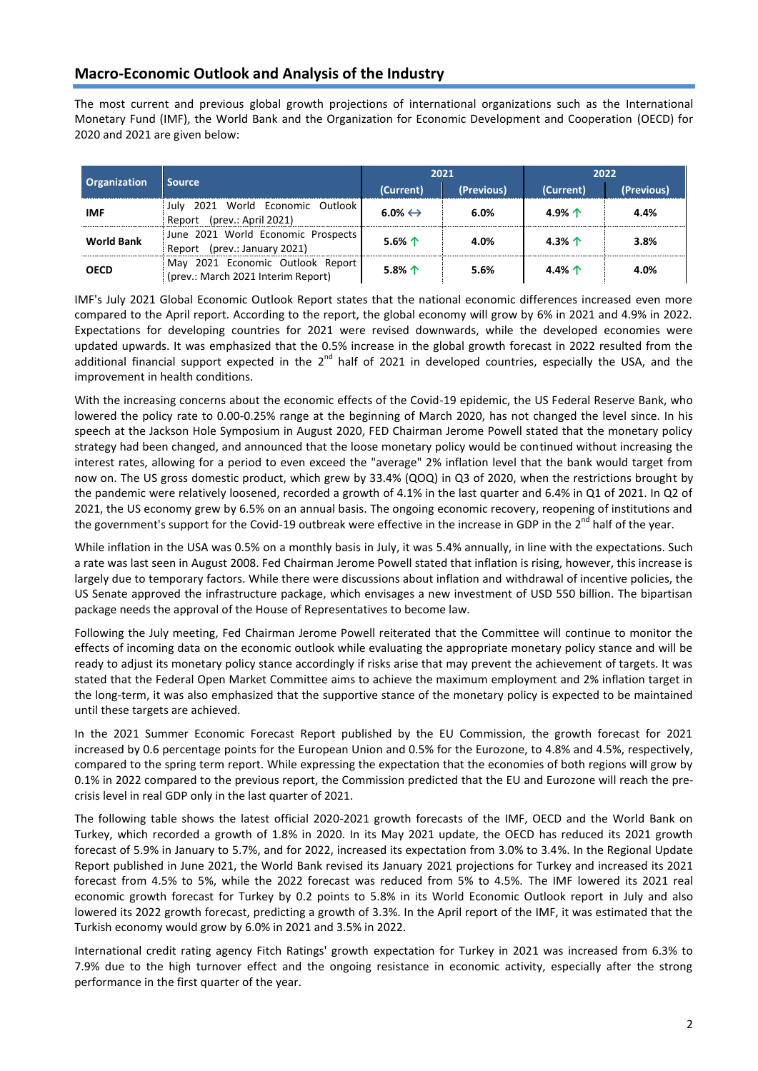## **Macro-Economic Outlook and Analysis of the Industry**

The most current and previous global growth projections of international organizations such as the International Monetary Fund (IMF), the World Bank and the Organization for Economic Development and Cooperation (OECD) for 2020 and 2021 are given below:

| <b>Organization</b> | <b>Source</b>                                                          | 2021                    |            | 2022            |            |  |
|---------------------|------------------------------------------------------------------------|-------------------------|------------|-----------------|------------|--|
|                     |                                                                        | (Current)               | (Previous) | (Current)       | (Previous) |  |
| <b>IMF</b>          | July 2021 World Economic Outlook<br>Report (prev.: April 2021)         | $6.0\% \leftrightarrow$ | 6.0%       | 4.9% $\uparrow$ | 4.4%       |  |
| <b>World Bank</b>   | June 2021 World Economic Prospects<br>Report (prev.: January 2021)     | 5.6% $\uparrow$         | 4.0%       | 4.3% $\uparrow$ | 3.8%       |  |
| <b>OECD</b>         | May 2021 Economic Outlook Report<br>(prev.: March 2021 Interim Report) | $5.8%$ 个                | 5.6%       | 4.4% $\uparrow$ | 4.0%       |  |

IMF's July 2021 Global Economic Outlook Report states that the national economic differences increased even more compared to the April report. According to the report, the global economy will grow by 6% in 2021 and 4.9% in 2022. Expectations for developing countries for 2021 were revised downwards, while the developed economies were updated upwards. It was emphasized that the 0.5% increase in the global growth forecast in 2022 resulted from the additional financial support expected in the 2<sup>nd</sup> half of 2021 in developed countries, especially the USA, and the improvement in health conditions.

With the increasing concerns about the economic effects of the Covid-19 epidemic, the US Federal Reserve Bank, who lowered the policy rate to 0.00-0.25% range at the beginning of March 2020, has not changed the level since. In his speech at the Jackson Hole Symposium in August 2020, FED Chairman Jerome Powell stated that the monetary policy strategy had been changed, and announced that the loose monetary policy would be continued without increasing the interest rates, allowing for a period to even exceed the "average" 2% inflation level that the bank would target from now on. The US gross domestic product, which grew by 33.4% (QOQ) in Q3 of 2020, when the restrictions brought by the pandemic were relatively loosened, recorded a growth of 4.1% in the last quarter and 6.4% in Q1 of 2021. In Q2 of 2021, the US economy grew by 6.5% on an annual basis. The ongoing economic recovery, reopening of institutions and the government's support for the Covid-19 outbreak were effective in the increase in GDP in the 2<sup>nd</sup> half of the year.

While inflation in the USA was 0.5% on a monthly basis in July, it was 5.4% annually, in line with the expectations. Such a rate was last seen in August 2008. Fed Chairman Jerome Powell stated that inflation is rising, however, this increase is largely due to temporary factors. While there were discussions about inflation and withdrawal of incentive policies, the US Senate approved the infrastructure package, which envisages a new investment of USD 550 billion. The bipartisan package needs the approval of the House of Representatives to become law.

Following the July meeting, Fed Chairman Jerome Powell reiterated that the Committee will continue to monitor the effects of incoming data on the economic outlook while evaluating the appropriate monetary policy stance and will be ready to adjust its monetary policy stance accordingly if risks arise that may prevent the achievement of targets. It was stated that the Federal Open Market Committee aims to achieve the maximum employment and 2% inflation target in the long-term, it was also emphasized that the supportive stance of the monetary policy is expected to be maintained until these targets are achieved.

In the 2021 Summer Economic Forecast Report published by the EU Commission, the growth forecast for 2021 increased by 0.6 percentage points for the European Union and 0.5% for the Eurozone, to 4.8% and 4.5%, respectively, compared to the spring term report. While expressing the expectation that the economies of both regions will grow by 0.1% in 2022 compared to the previous report, the Commission predicted that the EU and Eurozone will reach the precrisis level in real GDP only in the last quarter of 2021.

The following table shows the latest official 2020-2021 growth forecasts of the IMF, OECD and the World Bank on Turkey, which recorded a growth of 1.8% in 2020. In its May 2021 update, the OECD has reduced its 2021 growth forecast of 5.9% in January to 5.7%, and for 2022, increased its expectation from 3.0% to 3.4%. In the Regional Update Report published in June 2021, the World Bank revised its January 2021 projections for Turkey and increased its 2021 forecast from 4.5% to 5%, while the 2022 forecast was reduced from 5% to 4.5%. The IMF lowered its 2021 real economic growth forecast for Turkey by 0.2 points to 5.8% in its World Economic Outlook report in July and also lowered its 2022 growth forecast, predicting a growth of 3.3%. In the April report of the IMF, it was estimated that the Turkish economy would grow by 6.0% in 2021 and 3.5% in 2022.

International credit rating agency Fitch Ratings' growth expectation for Turkey in 2021 was increased from 6.3% to 7.9% due to the high turnover effect and the ongoing resistance in economic activity, especially after the strong performance in the first quarter of the year.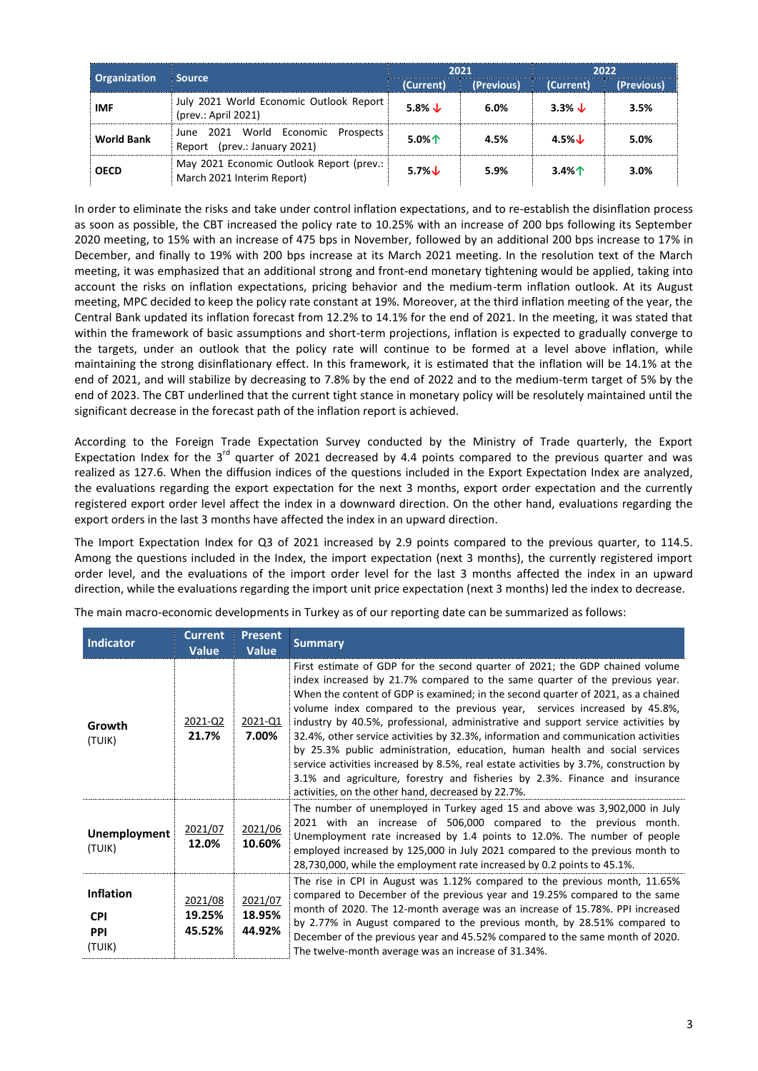|                     |                                                                             |                         | 2021 | 2022              |            |  |
|---------------------|-----------------------------------------------------------------------------|-------------------------|------|-------------------|------------|--|
| <b>Organization</b> | Source,                                                                     | (Previous)<br>(Current) |      | (Current)         | (Previous) |  |
| <b>IMF</b>          | July 2021 World Economic Outlook Report<br>(prev.: April 2021)              | 5.8% $\downarrow$       | 6.0% | 3.3% $\downarrow$ | 3.5%       |  |
| <b>World Bank</b>   | 2021 World Economic<br>Prospects<br>June<br>(prev.: January 2021)<br>Report | $5.0\%$                 | 4.5% | $4.5\%$           | 5.0%       |  |
| <b>OECD</b>         | May 2021 Economic Outlook Report (prev.:<br>March 2021 Interim Report)      | 5.7% $\downarrow$       | 5.9% | 3.4%              | 3.0%       |  |

In order to eliminate the risks and take under control inflation expectations, and to re-establish the disinflation process as soon as possible, the CBT increased the policy rate to 10.25% with an increase of 200 bps following its September 2020 meeting, to 15% with an increase of 475 bps in November, followed by an additional 200 bps increase to 17% in December, and finally to 19% with 200 bps increase at its March 2021 meeting. In the resolution text of the March meeting, it was emphasized that an additional strong and front-end monetary tightening would be applied, taking into account the risks on inflation expectations, pricing behavior and the medium-term inflation outlook. At its August meeting, MPC decided to keep the policy rate constant at 19%. Moreover, at the third inflation meeting of the year, the Central Bank updated its inflation forecast from 12.2% to 14.1% for the end of 2021. In the meeting, it was stated that within the framework of basic assumptions and short-term projections, inflation is expected to gradually converge to the targets, under an outlook that the policy rate will continue to be formed at a level above inflation, while maintaining the strong disinflationary effect. In this framework, it is estimated that the inflation will be 14.1% at the end of 2021, and will stabilize by decreasing to 7.8% by the end of 2022 and to the medium-term target of 5% by the end of 2023. The CBT underlined that the current tight stance in monetary policy will be resolutely maintained until the significant decrease in the forecast path of the inflation report is achieved.

According to the Foreign Trade Expectation Survey conducted by the Ministry of Trade quarterly, the Export Expectation Index for the  $3^{rd}$  quarter of 2021 decreased by 4.4 points compared to the previous quarter and was realized as 127.6. When the diffusion indices of the questions included in the Export Expectation Index are analyzed, the evaluations regarding the export expectation for the next 3 months, export order expectation and the currently registered export order level affect the index in a downward direction. On the other hand, evaluations regarding the export orders in the last 3 months have affected the index in an upward direction.

The Import Expectation Index for Q3 of 2021 increased by 2.9 points compared to the previous quarter, to 114.5. Among the questions included in the Index, the import expectation (next 3 months), the currently registered import order level, and the evaluations of the import order level for the last 3 months affected the index in an upward direction, while the evaluations regarding the import unit price expectation (next 3 months) led the index to decrease.

| <b>Indicator</b>                                       | <b>Current</b><br><b>Value</b> | <b>Present</b><br><b>Value</b> | <b>Summary</b>                                                                                                                                                                                                                                                                                                                                                                                                                                                                                                                                                                                                                                                                                                                                                                                                      |
|--------------------------------------------------------|--------------------------------|--------------------------------|---------------------------------------------------------------------------------------------------------------------------------------------------------------------------------------------------------------------------------------------------------------------------------------------------------------------------------------------------------------------------------------------------------------------------------------------------------------------------------------------------------------------------------------------------------------------------------------------------------------------------------------------------------------------------------------------------------------------------------------------------------------------------------------------------------------------|
| Growth<br>(TUIK)                                       | 2021-Q2<br>21.7%               | 2021-Q1<br>7.00%               | First estimate of GDP for the second quarter of 2021; the GDP chained volume<br>index increased by 21.7% compared to the same quarter of the previous year.<br>When the content of GDP is examined; in the second quarter of 2021, as a chained<br>volume index compared to the previous year, services increased by 45.8%,<br>industry by 40.5%, professional, administrative and support service activities by<br>32.4%, other service activities by 32.3%, information and communication activities<br>by 25.3% public administration, education, human health and social services<br>service activities increased by 8.5%, real estate activities by 3.7%, construction by<br>3.1% and agriculture, forestry and fisheries by 2.3%. Finance and insurance<br>activities, on the other hand, decreased by 22.7%. |
| <b>Unemployment</b><br>(TUIK)                          | 2021/07<br>12.0%               | 2021/06<br>10.60%              | The number of unemployed in Turkey aged 15 and above was 3,902,000 in July<br>2021 with an increase of 506,000 compared to the previous month.<br>Unemployment rate increased by 1.4 points to 12.0%. The number of people<br>employed increased by 125,000 in July 2021 compared to the previous month to<br>28,730,000, while the employment rate increased by 0.2 points to 45.1%.                                                                                                                                                                                                                                                                                                                                                                                                                               |
| <b>Inflation</b><br><b>CPI</b><br><b>PPI</b><br>(TUIK) | 2021/08<br>19.25%<br>45.52%    | 2021/07<br>18.95%<br>44.92%    | The rise in CPI in August was 1.12% compared to the previous month, 11.65%<br>compared to December of the previous year and 19.25% compared to the same<br>month of 2020. The 12-month average was an increase of 15.78%. PPI increased<br>by 2.77% in August compared to the previous month, by 28.51% compared to<br>December of the previous year and 45.52% compared to the same month of 2020.<br>The twelve-month average was an increase of 31.34%.                                                                                                                                                                                                                                                                                                                                                          |

The main macro-economic developments in Turkey as of our reporting date can be summarized as follows: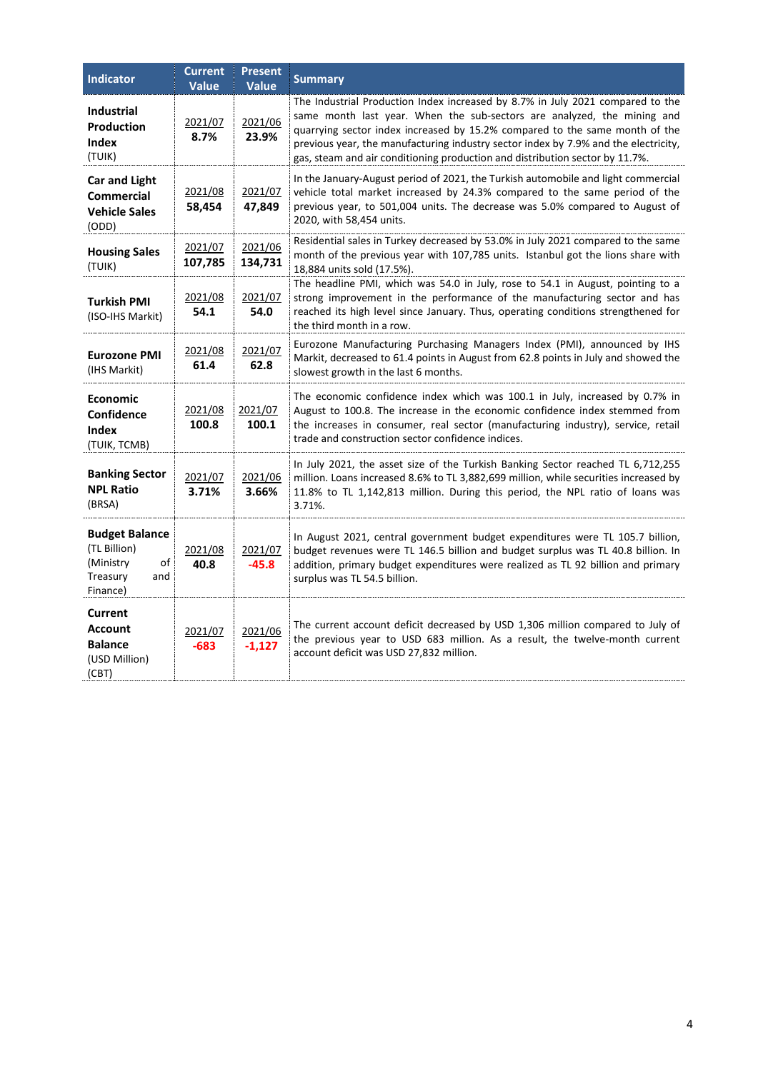| <b>Indicator</b>                                                                        | <b>Current</b><br><b>Value</b> | <b>Present</b><br><b>Value</b> | <b>Summary</b>                                                                                                                                                                                                                                                                                                                                                                                                  |
|-----------------------------------------------------------------------------------------|--------------------------------|--------------------------------|-----------------------------------------------------------------------------------------------------------------------------------------------------------------------------------------------------------------------------------------------------------------------------------------------------------------------------------------------------------------------------------------------------------------|
| <b>Industrial</b><br><b>Production</b><br><b>Index</b><br>(TUIK)                        | 2021/07<br>8.7%                | 2021/06<br>23.9%               | The Industrial Production Index increased by 8.7% in July 2021 compared to the<br>same month last year. When the sub-sectors are analyzed, the mining and<br>quarrying sector index increased by 15.2% compared to the same month of the<br>previous year, the manufacturing industry sector index by 7.9% and the electricity,<br>gas, steam and air conditioning production and distribution sector by 11.7%. |
| <b>Car and Light</b><br>Commercial<br><b>Vehicle Sales</b><br>(ODD)                     | 2021/08<br>58,454              | 2021/07<br>47,849              | In the January-August period of 2021, the Turkish automobile and light commercial<br>vehicle total market increased by 24.3% compared to the same period of the<br>previous year, to 501,004 units. The decrease was 5.0% compared to August of<br>2020, with 58,454 units.                                                                                                                                     |
| <b>Housing Sales</b><br>(TUIK)                                                          | 2021/07<br>107,785             | 2021/06<br>134,731             | Residential sales in Turkey decreased by 53.0% in July 2021 compared to the same<br>month of the previous year with 107,785 units. Istanbul got the lions share with<br>18,884 units sold (17.5%).                                                                                                                                                                                                              |
| <b>Turkish PMI</b><br>(ISO-IHS Markit)                                                  | 2021/08<br>54.1                | 2021/07<br>54.0                | The headline PMI, which was 54.0 in July, rose to 54.1 in August, pointing to a<br>strong improvement in the performance of the manufacturing sector and has<br>reached its high level since January. Thus, operating conditions strengthened for<br>the third month in a row.                                                                                                                                  |
| <b>Eurozone PMI</b><br>(IHS Markit)                                                     | 2021/08<br>61.4                | 2021/07<br>62.8                | Eurozone Manufacturing Purchasing Managers Index (PMI), announced by IHS<br>Markit, decreased to 61.4 points in August from 62.8 points in July and showed the<br>slowest growth in the last 6 months.                                                                                                                                                                                                          |
| <b>Economic</b><br>Confidence<br><b>Index</b><br>(TUIK, TCMB)                           | 2021/08<br>100.8               | 2021/07<br>100.1               | The economic confidence index which was 100.1 in July, increased by 0.7% in<br>August to 100.8. The increase in the economic confidence index stemmed from<br>the increases in consumer, real sector (manufacturing industry), service, retail<br>trade and construction sector confidence indices.                                                                                                             |
| <b>Banking Sector</b><br><b>NPL Ratio</b><br>(BRSA)                                     | 2021/07<br>3.71%               | 2021/06<br>3.66%               | In July 2021, the asset size of the Turkish Banking Sector reached TL 6,712,255<br>million. Loans increased 8.6% to TL 3,882,699 million, while securities increased by<br>11.8% to TL 1,142,813 million. During this period, the NPL ratio of loans was<br>3.71%.                                                                                                                                              |
| <b>Budget Balance</b><br>(TL Billion)<br>(Ministry<br>οf<br>Treasury<br>and<br>Finance) | 2021/08<br>40.8                | 2021/07<br>$-45.8$             | In August 2021, central government budget expenditures were TL 105.7 billion,<br>budget revenues were TL 146.5 billion and budget surplus was TL 40.8 billion. In<br>addition, primary budget expenditures were realized as TL 92 billion and primary<br>surplus was TL 54.5 billion.                                                                                                                           |
| Current<br><b>Account</b><br><b>Balance</b><br>(USD Million)<br>(CBT)                   | 2021/07<br>$-683$              | 2021/06<br>$-1,127$            | The current account deficit decreased by USD 1,306 million compared to July of<br>the previous year to USD 683 million. As a result, the twelve-month current<br>account deficit was USD 27,832 million.                                                                                                                                                                                                        |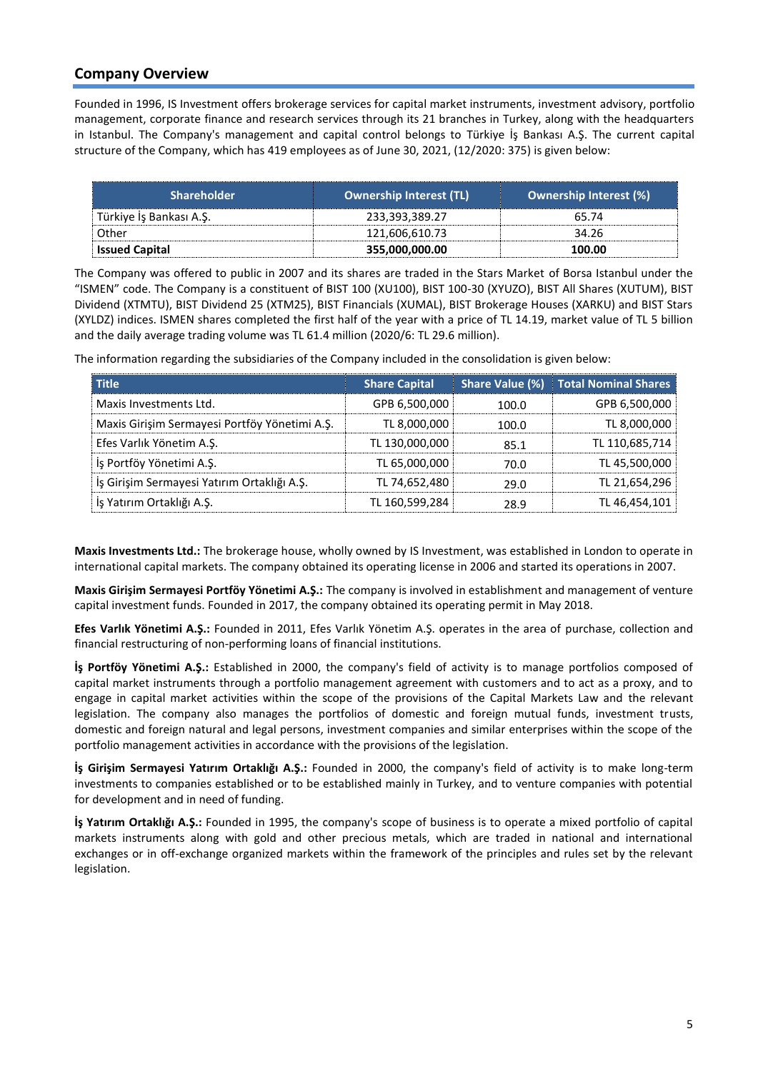## **Company Overview**

Founded in 1996, IS Investment offers brokerage services for capital market instruments, investment advisory, portfolio management, corporate finance and research services through its 21 branches in Turkey, along with the headquarters in Istanbul. The Company's management and capital control belongs to Türkiye İş Bankası A.Ş. The current capital structure of the Company, which has 419 employees as of June 30, 2021, (12/2020: 375) is given below:

| <b>Shareholder</b>      | <b>Ownership Interest (TL)</b> | <b>Ownership Interest (%)</b> |
|-------------------------|--------------------------------|-------------------------------|
| Türkiye İş Bankası A.Ş. | 233,393,389.27                 | 65.74                         |
| Other                   | 121,606,610.73                 | 34.26                         |
| <b>Issued Capital</b>   | 355,000,000.00                 | 100.00                        |

The Company was offered to public in 2007 and its shares are traded in the Stars Market of Borsa Istanbul under the "ISMEN" code. The Company is a constituent of BIST 100 (XU100), BIST 100-30 (XYUZO), BIST All Shares (XUTUM), BIST Dividend (XTMTU), BIST Dividend 25 (XTM25), BIST Financials (XUMAL), BIST Brokerage Houses (XARKU) and BIST Stars (XYLDZ) indices. ISMEN shares completed the first half of the year with a price of TL 14.19, market value of TL 5 billion and the daily average trading volume was TL 61.4 million (2020/6: TL 29.6 million).

The information regarding the subsidiaries of the Company included in the consolidation is given below:

| <b>Title</b>                                  | <b>Share Capital</b> | Share Value (%) | <b>Total Nominal Shares</b> |
|-----------------------------------------------|----------------------|-----------------|-----------------------------|
| Maxis Investments Ltd.                        | GPB 6,500,000        | 100.0           | GPB 6,500,000               |
| Maxis Girişim Sermayesi Portföy Yönetimi A.Ş. | TL 8,000,000         | 100.0           | TL 8,000,000                |
| Efes Varlık Yönetim A.S.                      | TL 130,000,000       | 85.1            | TL 110,685,714              |
| İş Portföy Yönetimi A.Ş.                      | TL 65,000,000        | 70.0            | TL 45,500,000               |
| İş Girişim Sermayesi Yatırım Ortaklığı A.Ş.   | TL 74,652,480        | 29.0            | TL 21,654,296               |
| Is Yatırım Ortaklığı A.S.                     | TL 160,599,284       | 28.9            | TL 46,454,101               |

**Maxis Investments Ltd.:** The brokerage house, wholly owned by IS Investment, was established in London to operate in international capital markets. The company obtained its operating license in 2006 and started its operations in 2007.

**Maxis Girişim Sermayesi Portföy Yönetimi A.Ş.:** The company is involved in establishment and management of venture capital investment funds. Founded in 2017, the company obtained its operating permit in May 2018.

**Efes Varlık Yönetimi A.Ş.:** Founded in 2011, Efes Varlık Yönetim A.Ş. operates in the area of purchase, collection and financial restructuring of non-performing loans of financial institutions.

**İş Portföy Yönetimi A.Ş.:** Established in 2000, the company's field of activity is to manage portfolios composed of capital market instruments through a portfolio management agreement with customers and to act as a proxy, and to engage in capital market activities within the scope of the provisions of the Capital Markets Law and the relevant legislation. The company also manages the portfolios of domestic and foreign mutual funds, investment trusts, domestic and foreign natural and legal persons, investment companies and similar enterprises within the scope of the portfolio management activities in accordance with the provisions of the legislation.

**İş Girişim Sermayesi Yatırım Ortaklığı A.Ş.:** Founded in 2000, the company's field of activity is to make long-term investments to companies established or to be established mainly in Turkey, and to venture companies with potential for development and in need of funding.

**İş Yatırım Ortaklığı A.Ş.:** Founded in 1995, the company's scope of business is to operate a mixed portfolio of capital markets instruments along with gold and other precious metals, which are traded in national and international exchanges or in off-exchange organized markets within the framework of the principles and rules set by the relevant legislation.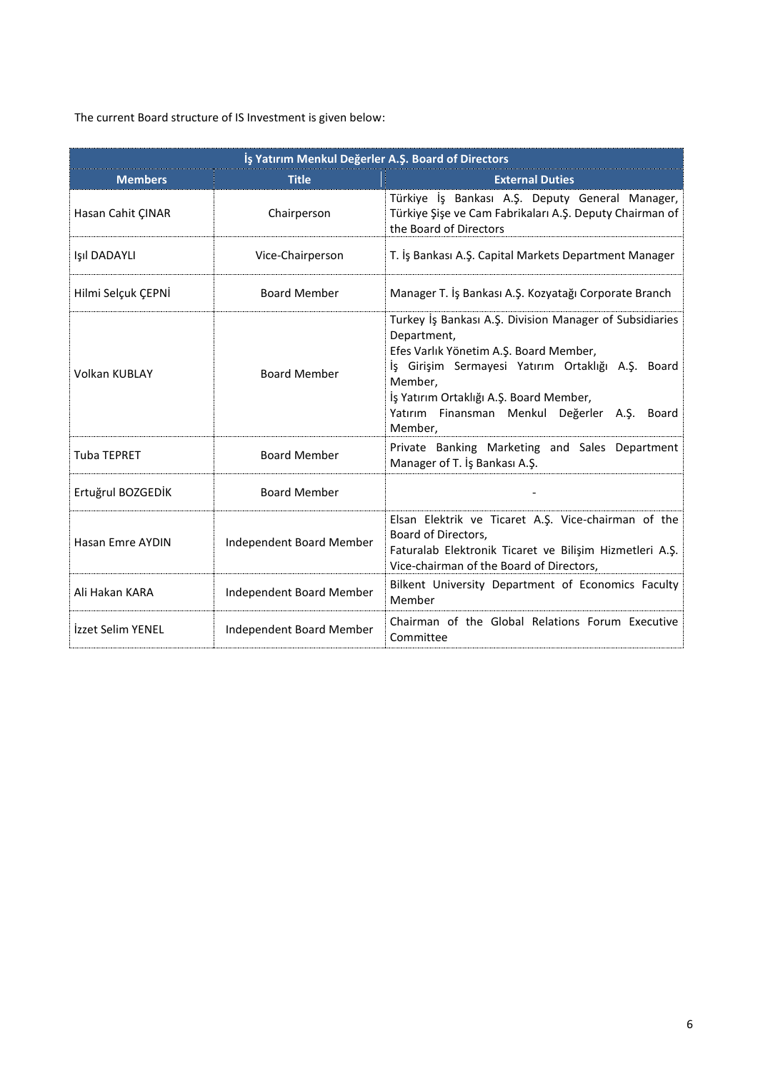The current Board structure of IS Investment is given below:

|                          | İş Yatırım Menkul Değerler A.Ş. Board of Directors |                                                                                                                                                                                                                                                                                           |  |  |  |  |  |
|--------------------------|----------------------------------------------------|-------------------------------------------------------------------------------------------------------------------------------------------------------------------------------------------------------------------------------------------------------------------------------------------|--|--|--|--|--|
| <b>Members</b>           | <b>Title</b>                                       | <b>External Duties</b>                                                                                                                                                                                                                                                                    |  |  |  |  |  |
| Hasan Cahit ÇINAR        | Chairperson                                        | Türkiye İş Bankası A.Ş. Deputy General Manager,<br>Türkiye Şişe ve Cam Fabrikaları A.Ş. Deputy Chairman of<br>the Board of Directors                                                                                                                                                      |  |  |  |  |  |
| Işıl DADAYLI             | Vice-Chairperson                                   | T. İş Bankası A.Ş. Capital Markets Department Manager                                                                                                                                                                                                                                     |  |  |  |  |  |
| Hilmi Selçuk ÇEPNİ       | <b>Board Member</b>                                | Manager T. İş Bankası A.Ş. Kozyatağı Corporate Branch                                                                                                                                                                                                                                     |  |  |  |  |  |
| <b>Volkan KUBLAY</b>     | <b>Board Member</b>                                | Turkey İş Bankası A.Ş. Division Manager of Subsidiaries<br>Department,<br>Efes Varlık Yönetim A.Ş. Board Member,<br>İş Girişim Sermayesi Yatırım Ortaklığı A.Ş. Board<br>Member,<br>İş Yatırım Ortaklığı A.Ş. Board Member,<br>Yatırım Finansman Menkul Değerler A.Ş.<br>Board<br>Member, |  |  |  |  |  |
| <b>Tuba TEPRET</b>       | <b>Board Member</b>                                | Private Banking Marketing and Sales Department<br>Manager of T. İş Bankası A.Ş.                                                                                                                                                                                                           |  |  |  |  |  |
| Ertuğrul BOZGEDİK        | <b>Board Member</b>                                |                                                                                                                                                                                                                                                                                           |  |  |  |  |  |
| Hasan Emre AYDIN         | Independent Board Member                           | Elsan Elektrik ve Ticaret A.Ş. Vice-chairman of the<br>Board of Directors.<br>Faturalab Elektronik Ticaret ve Bilişim Hizmetleri A.Ş.<br>Vice-chairman of the Board of Directors,                                                                                                         |  |  |  |  |  |
| Ali Hakan KARA           | <b>Independent Board Member</b>                    | Bilkent University Department of Economics Faculty<br>Member                                                                                                                                                                                                                              |  |  |  |  |  |
| <b>İzzet Selim YENEL</b> | Independent Board Member                           | Chairman of the Global Relations Forum Executive<br>Committee                                                                                                                                                                                                                             |  |  |  |  |  |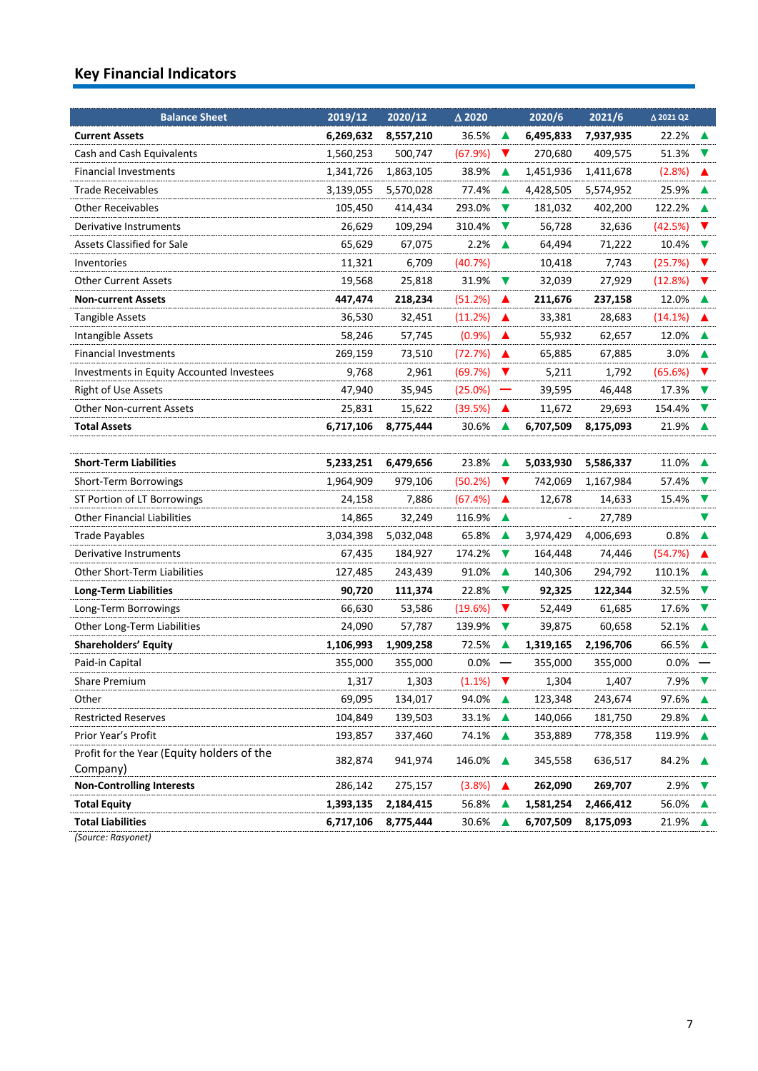# **Key Financial Indicators**

| <b>Balance Sheet</b>                                   | 2019/12   | 2020/12   | $\triangle$ 2020 |                          | 2020/6    | 2021/6    | △ 2021 Q2 |                      |
|--------------------------------------------------------|-----------|-----------|------------------|--------------------------|-----------|-----------|-----------|----------------------|
| <b>Current Assets</b>                                  | 6,269,632 | 8,557,210 | 36.5%            | ▲                        | 6,495,833 | 7,937,935 | 22.2%     | ▲                    |
| Cash and Cash Equivalents                              | 1,560,253 | 500,747   | (67.9%)          | V                        | 270,680   | 409,575   | 51.3%     | v                    |
| <b>Financial Investments</b>                           | 1,341,726 | 1,863,105 | 38.9%            | ▲                        | 1,451,936 | 1,411,678 | (2.8%)    | ▲                    |
| <b>Trade Receivables</b>                               | 3,139,055 | 5,570,028 | 77.4%            | ▲                        | 4,428,505 | 5,574,952 | 25.9%     |                      |
| <b>Other Receivables</b>                               | 105,450   | 414,434   | 293.0%           | $\blacktriangledown$     | 181,032   | 402,200   | 122.2%    | ▲                    |
| Derivative Instruments                                 | 26,629    | 109,294   | 310.4%           | $\blacktriangledown$     | 56,728    | 32,636    | (42.5%)   | $\blacktriangledown$ |
| <b>Assets Classified for Sale</b>                      | 65,629    | 67,075    | 2.2%             | ▲                        | 64,494    | 71,222    | 10.4%     | $\blacktriangledown$ |
| Inventories                                            | 11,321    | 6,709     | (40.7%)          |                          | 10,418    | 7,743     | (25.7%)   | v                    |
| <b>Other Current Assets</b>                            | 19,568    | 25,818    | 31.9%            | $\blacktriangledown$     | 32,039    | 27,929    | (12.8%)   | $\blacktriangledown$ |
| <b>Non-current Assets</b>                              | 447,474   | 218,234   | (51.2%)          | ▲                        | 211,676   | 237,158   | 12.0%     | ▲                    |
| Tangible Assets                                        | 36,530    | 32,451    | (11.2%)          | ▲                        | 33,381    | 28,683    | (14.1%)   |                      |
| Intangible Assets                                      | 58,246    | 57,745    | (0.9%            | ▲                        | 55,932    | 62,657    | 12.0%     |                      |
| Financial Investments                                  | 269,159   | 73,510    | (72.7%)          | ▲                        | 65,885    | 67,885    | 3.0%      |                      |
| Investments in Equity Accounted Investees              | 9,768     | 2,961     | (69.7%)          | $\blacktriangledown$     | 5,211     | 1,792     | (65.6%)   | v                    |
| <b>Right of Use Assets</b>                             | 47,940    | 35,945    | (25.0%)          |                          | 39,595    | 46,448    | 17.3%     | $\blacktriangledown$ |
| <b>Other Non-current Assets</b>                        | 25,831    | 15,622    | (39.5%)          | ▲                        | 11,672    | 29,693    | 154.4%    | v                    |
| <b>Total Assets</b>                                    | 6,717,106 | 8,775,444 | 30.6%            | ▲                        | 6,707,509 | 8,175,093 | 21.9%     |                      |
|                                                        |           |           |                  |                          |           |           |           |                      |
| <b>Short-Term Liabilities</b>                          | 5,233,251 | 6,479,656 | 23.8%            | ▲                        | 5,033,930 | 5,586,337 | 11.0%     | ▲                    |
| Short-Term Borrowings                                  | 1,964,909 | 979,106   | (50.2%)          | $\blacktriangledown$     | 742,069   | 1,167,984 | 57.4%     | V                    |
| ST Portion of LT Borrowings                            | 24,158    | 7,886     | (67.4%)          | ▲                        | 12,678    | 14,633    | 15.4%     | $\blacktriangledown$ |
| <b>Other Financial Liabilities</b>                     | 14,865    | 32,249    | 116.9%           | ▲                        |           | 27,789    |           | V                    |
| <b>Trade Payables</b>                                  | 3,034,398 | 5,032,048 | 65.8%            | ▲                        | 3,974,429 | 4,006,693 | 0.8%      | ▲                    |
| Derivative Instruments                                 | 67,435    | 184,927   | 174.2%           | $\blacktriangledown$     | 164,448   | 74,446    | (54.7%)   | ▲                    |
| Other Short-Term Liabilities                           | 127,485   | 243,439   | 91.0%            | ▲                        | 140,306   | 294,792   | 110.1%    |                      |
| <b>Long-Term Liabilities</b>                           | 90,720    | 111,374   | 22.8%            | v                        | 92,325    | 122,344   | 32.5%     | v                    |
| Long-Term Borrowings                                   | 66,630    | 53,586    | (19.6%)          | $\blacktriangledown$     | 52,449    | 61,685    | 17.6%     | $\blacktriangledown$ |
| Other Long-Term Liabilities                            | 24,090    | 57,787    | 139.9%           | $\blacktriangledown$     | 39,875    | 60,658    | 52.1%     | $\blacktriangle$     |
| <b>Shareholders' Equity</b>                            | 1,106,993 | 1,909,258 | 72.5%            | ▲                        | 1,319,165 | 2,196,706 | 66.5%     |                      |
| Paid-in Capital                                        | 355,000   | 355,000   | 0.0%             | $\overline{\phantom{0}}$ | 355,000   | 355,000   | 0.0%      |                      |
| <b>Share Premium</b>                                   | 1,317     | 1,303     | (1.1%)           | $\blacktriangledown$     | 1,304     | 1,407     | 7.9%      | V                    |
| Other                                                  | 69,095    | 134,017   | 94.0%            | ▲                        | 123,348   | 243,674   | 97.6%     | $\blacktriangle$     |
| <b>Restricted Reserves</b>                             | 104,849   | 139,503   | 33.1%            | ▲                        | 140,066   | 181,750   | 29.8%     |                      |
| Prior Year's Profit                                    | 193,857   | 337,460   | 74.1%            | ▲                        | 353,889   | 778,358   | 119.9%    | ▲                    |
| Profit for the Year (Equity holders of the<br>Company) | 382,874   | 941,974   | 146.0%           | ▲                        | 345,558   | 636,517   | 84.2%     | $\blacktriangle$     |
| <b>Non-Controlling Interests</b>                       | 286,142   | 275,157   | (3.8%)           | ▲                        | 262,090   | 269,707   | 2.9%      |                      |
| <b>Total Equity</b>                                    | 1,393,135 | 2,184,415 | 56.8%            | ▲                        | 1,581,254 | 2,466,412 | 56.0%     |                      |
| <b>Total Liabilities</b>                               | 6,717,106 | 8,775,444 | 30.6%            | ▲                        | 6,707,509 | 8,175,093 | 21.9%     | ▲                    |
|                                                        |           |           |                  |                          |           |           |           |                      |

*(Source: Rasyonet)*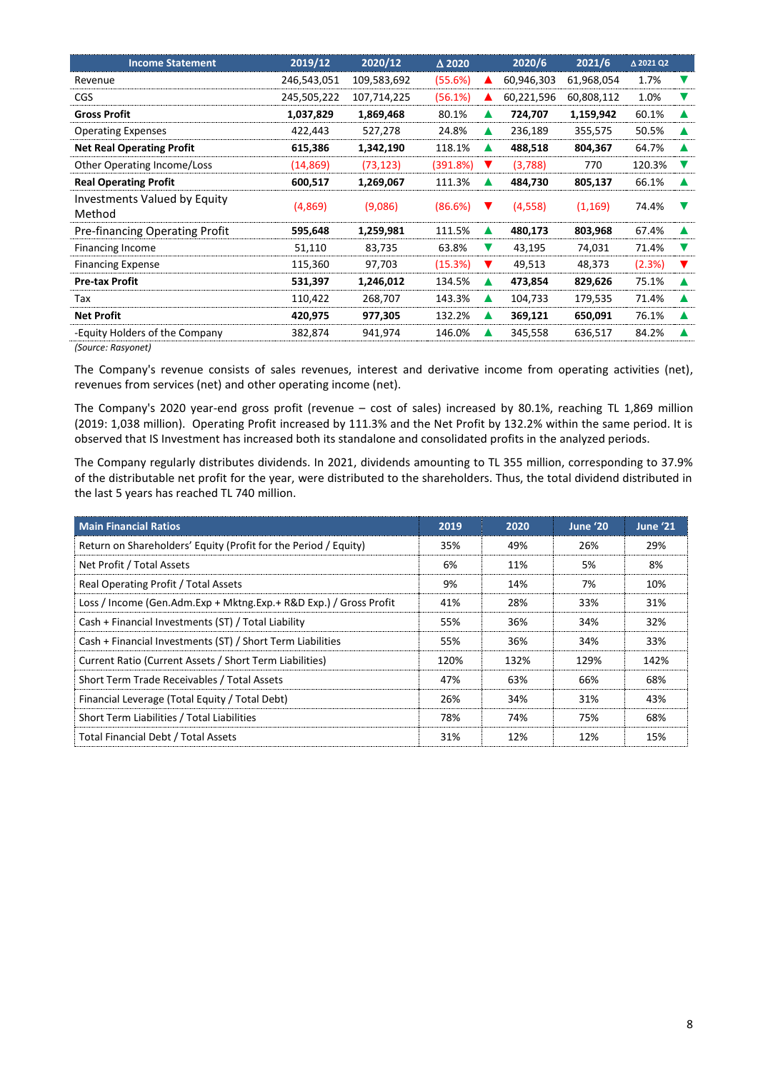| <b>Income Statement</b>                       | 2019/12     | 2020/12     | $\triangle$ 2020 |   | 2020/6     | 2021/6     | Δ 2021 Q2 |   |
|-----------------------------------------------|-------------|-------------|------------------|---|------------|------------|-----------|---|
| Revenue                                       | 246,543,051 | 109,583,692 | (55.6%)          |   | 60,946,303 | 61,968,054 | 1.7%      | v |
| <b>CGS</b>                                    | 245,505,222 | 107,714,225 | (56.1%)          |   | 60,221,596 | 60,808,112 | 1.0%      |   |
| <b>Gross Profit</b>                           | 1,037,829   | 1,869,468   | 80.1%            | ▲ | 724,707    | 1,159,942  | 60.1%     |   |
| <b>Operating Expenses</b>                     | 422,443     | 527,278     | 24.8%            | ▲ | 236,189    | 355,575    | 50.5%     |   |
| <b>Net Real Operating Profit</b>              | 615,386     | 1,342,190   | 118.1%           |   | 488,518    | 804,367    | 64.7%     |   |
| Other Operating Income/Loss                   | (14, 869)   | (73, 123)   | (391.8%)         | v | (3,788)    | 770        | 120.3%    |   |
| <b>Real Operating Profit</b>                  | 600,517     | 1,269,067   | 111.3%           |   | 484,730    | 805,137    | 66.1%     |   |
| <b>Investments Valued by Equity</b><br>Method | (4,869)     | (9,086)     | (86.6%)          |   | (4,558)    | (1, 169)   | 74.4%     |   |
| Pre-financing Operating Profit                | 595,648     | 1,259,981   | 111.5%           | ▲ | 480,173    | 803,968    | 67.4%     |   |
| Financing Income                              | 51,110      | 83,735      | 63.8%            | v | 43,195     | 74,031     | 71.4%     | v |
| <b>Financing Expense</b>                      | 115,360     | 97,703      | (15.3%)          |   | 49,513     | 48,373     | (2.3%)    |   |
| <b>Pre-tax Profit</b>                         | 531,397     | 1,246,012   | 134.5%           | ▲ | 473,854    | 829,626    | 75.1%     |   |
| Tax                                           | 110,422     | 268,707     | 143.3%           | ▲ | 104,733    | 179,535    | 71.4%     |   |
| <b>Net Profit</b>                             | 420,975     | 977,305     | 132.2%           | ▲ | 369,121    | 650,091    | 76.1%     |   |
| -Equity Holders of the Company                | 382,874     | 941,974     | 146.0%           |   | 345,558    | 636,517    | 84.2%     |   |

*(Source: Rasyonet)*

The Company's revenue consists of sales revenues, interest and derivative income from operating activities (net), revenues from services (net) and other operating income (net).

The Company's 2020 year-end gross profit (revenue – cost of sales) increased by 80.1%, reaching TL 1,869 million (2019: 1,038 million). Operating Profit increased by 111.3% and the Net Profit by 132.2% within the same period. It is observed that IS Investment has increased both its standalone and consolidated profits in the analyzed periods.

The Company regularly distributes dividends. In 2021, dividends amounting to TL 355 million, corresponding to 37.9% of the distributable net profit for the year, were distributed to the shareholders. Thus, the total dividend distributed in the last 5 years has reached TL 740 million.

| <b>Main Financial Ratios</b>                                      | 2019 | 2020 | June '20 | June '21 |
|-------------------------------------------------------------------|------|------|----------|----------|
| Return on Shareholders' Equity (Profit for the Period / Equity)   | 35%  | 49%  | 26%      | 29%      |
| Net Profit / Total Assets                                         | 6%   | 11%  | 5%       | 8%       |
| Real Operating Profit / Total Assets                              | 9%   | 14%  | 7%       | 10%      |
| Loss / Income (Gen.Adm.Exp + Mktng.Exp.+ R&D Exp.) / Gross Profit | 41%  | 28%  | 33%      | 31%      |
| Cash + Financial Investments (ST) / Total Liability               | 55%  | 36%  | 34%      | 32%      |
| Cash + Financial Investments (ST) / Short Term Liabilities        | 55%  | 36%  | 34%      | 33%      |
| Current Ratio (Current Assets / Short Term Liabilities)           | 120% | 132% | 129%     | 142%     |
| Short Term Trade Receivables / Total Assets                       | 47%  | 63%  | 66%      | 68%      |
| Financial Leverage (Total Equity / Total Debt)                    | 26%  | 34%  | 31%      | 43%      |
| Short Term Liabilities / Total Liabilities                        | 78%  | 74%  | 75%      | 68%      |
| Total Financial Debt / Total Assets                               | 31%  | 12%  | 12%      | 15%      |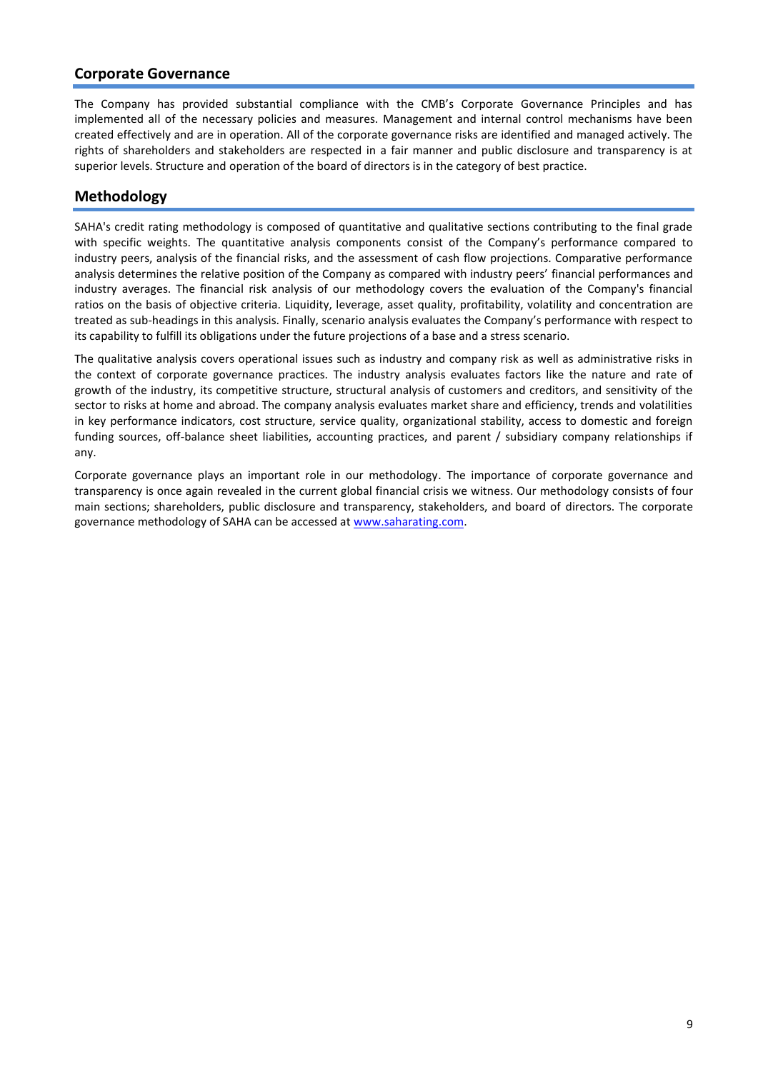### **Corporate Governance**

The Company has provided substantial compliance with the CMB's Corporate Governance Principles and has implemented all of the necessary policies and measures. Management and internal control mechanisms have been created effectively and are in operation. All of the corporate governance risks are identified and managed actively. The rights of shareholders and stakeholders are respected in a fair manner and public disclosure and transparency is at superior levels. Structure and operation of the board of directors is in the category of best practice.

## **Methodology**

SAHA's credit rating methodology is composed of quantitative and qualitative sections contributing to the final grade with specific weights. The quantitative analysis components consist of the Company's performance compared to industry peers, analysis of the financial risks, and the assessment of cash flow projections. Comparative performance analysis determines the relative position of the Company as compared with industry peers' financial performances and industry averages. The financial risk analysis of our methodology covers the evaluation of the Company's financial ratios on the basis of objective criteria. Liquidity, leverage, asset quality, profitability, volatility and concentration are treated as sub-headings in this analysis. Finally, scenario analysis evaluates the Company's performance with respect to its capability to fulfill its obligations under the future projections of a base and a stress scenario.

The qualitative analysis covers operational issues such as industry and company risk as well as administrative risks in the context of corporate governance practices. The industry analysis evaluates factors like the nature and rate of growth of the industry, its competitive structure, structural analysis of customers and creditors, and sensitivity of the sector to risks at home and abroad. The company analysis evaluates market share and efficiency, trends and volatilities in key performance indicators, cost structure, service quality, organizational stability, access to domestic and foreign funding sources, off-balance sheet liabilities, accounting practices, and parent / subsidiary company relationships if any.

Corporate governance plays an important role in our methodology. The importance of corporate governance and transparency is once again revealed in the current global financial crisis we witness. Our methodology consists of four main sections; shareholders, public disclosure and transparency, stakeholders, and board of directors. The corporate governance methodology of SAHA can be accessed at [www.saharating.com.](http://www.saharating.com/)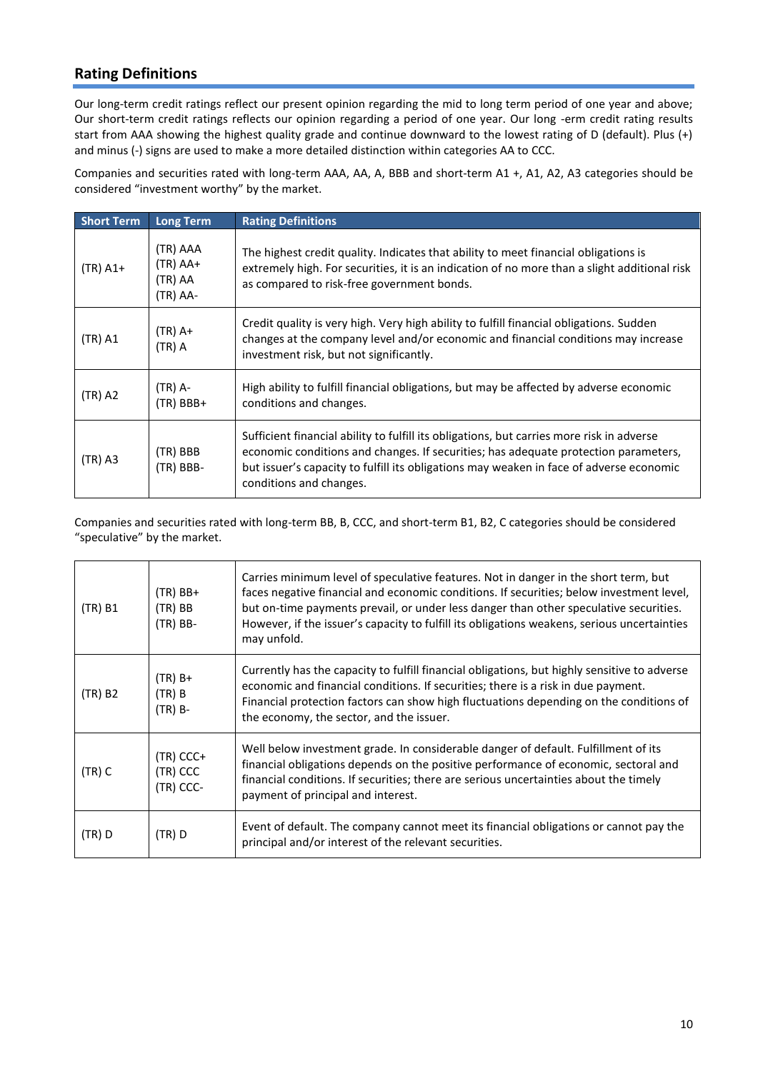# **Rating Definitions**

Our long-term credit ratings reflect our present opinion regarding the mid to long term period of one year and above; Our short-term credit ratings reflects our opinion regarding a period of one year. Our long -erm credit rating results start from AAA showing the highest quality grade and continue downward to the lowest rating of D (default). Plus (+) and minus (-) signs are used to make a more detailed distinction within categories AA to CCC.

Companies and securities rated with long-term AAA, AA, A, BBB and short-term A1 +, A1, A2, A3 categories should be considered "investment worthy" by the market.

| <b>Short Term</b> | <b>Long Term</b>                              | <b>Rating Definitions</b>                                                                                                                                                                                                                                                                              |
|-------------------|-----------------------------------------------|--------------------------------------------------------------------------------------------------------------------------------------------------------------------------------------------------------------------------------------------------------------------------------------------------------|
| $(TR)$ A1+        | (TR) AAA<br>$(TR)$ AA+<br>(TR) AA<br>(TR) AA- | The highest credit quality. Indicates that ability to meet financial obligations is<br>extremely high. For securities, it is an indication of no more than a slight additional risk<br>as compared to risk-free government bonds.                                                                      |
| $(TR)$ A1         | $(TR)$ A+<br>$(TR)$ A                         | Credit quality is very high. Very high ability to fulfill financial obligations. Sudden<br>changes at the company level and/or economic and financial conditions may increase<br>investment risk, but not significantly.                                                                               |
| $(TR)$ A2         | (TR) A-<br>$(TR)$ BBB+                        | High ability to fulfill financial obligations, but may be affected by adverse economic<br>conditions and changes.                                                                                                                                                                                      |
| $(TR)$ A3         | (TR) BBB<br>$(TR)$ BBB-                       | Sufficient financial ability to fulfill its obligations, but carries more risk in adverse<br>economic conditions and changes. If securities; has adequate protection parameters,<br>but issuer's capacity to fulfill its obligations may weaken in face of adverse economic<br>conditions and changes. |

Companies and securities rated with long-term BB, B, CCC, and short-term B1, B2, C categories should be considered "speculative" by the market.

| (TR) B1  | $(TR)$ BB+<br>$(TR)$ BB<br>$(TR)$ BB-  | Carries minimum level of speculative features. Not in danger in the short term, but<br>faces negative financial and economic conditions. If securities; below investment level,<br>but on-time payments prevail, or under less danger than other speculative securities.<br>However, if the issuer's capacity to fulfill its obligations weakens, serious uncertainties<br>may unfold. |
|----------|----------------------------------------|----------------------------------------------------------------------------------------------------------------------------------------------------------------------------------------------------------------------------------------------------------------------------------------------------------------------------------------------------------------------------------------|
| (TR) B2  | $(TR)B+$<br>$(TR)$ B<br>$(TR)$ B-      | Currently has the capacity to fulfill financial obligations, but highly sensitive to adverse<br>economic and financial conditions. If securities; there is a risk in due payment.<br>Financial protection factors can show high fluctuations depending on the conditions of<br>the economy, the sector, and the issuer.                                                                |
| $(TR)$ C | $(TR)$ CCC+<br>(TR) CCC<br>$(TR)$ CCC- | Well below investment grade. In considerable danger of default. Fulfillment of its<br>financial obligations depends on the positive performance of economic, sectoral and<br>financial conditions. If securities; there are serious uncertainties about the timely<br>payment of principal and interest.                                                                               |
| (TR) D   | $(TR)$ D                               | Event of default. The company cannot meet its financial obligations or cannot pay the<br>principal and/or interest of the relevant securities.                                                                                                                                                                                                                                         |